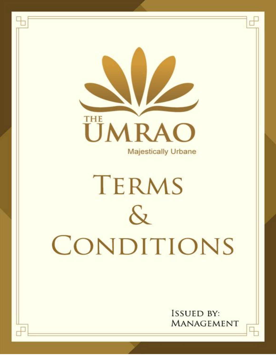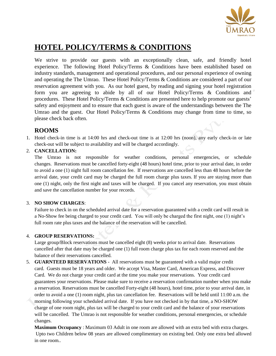

# **HOTEL POLICY/TERMS & CONDITIONS**

We strive to provide our guests with an exceptionally clean, safe, and friendly hotel experience. The following Hotel Policy/Terms & Conditions have been established based on industry standards, management and operational procedures, and our personal experience of owning and operating the The Umrao. These Hotel Policy/Terms & Conditions are considered a part of our reservation agreement with you. As our hotel guest, by reading and signing your hotel registration form you are agreeing to abide by all of our Hotel Policy/Terms & Conditions and procedures. These Hotel Policy/Terms & Conditions are presented here to help promote our guests' safety and enjoyment and to ensure that each guest is aware of the understandings between the The Umrao and the guest. Our Hotel Policy/Terms & Conditions may change from time to time, so please check back often.

## **ROOMS**

1. Hotel check-in time is at 14:00 hrs and check-out time is at 12:00 hrs (noon), any early check-in or late check-out will be subject to availability and will be charged accordingly.

### 2. **CANCELLATION:**

The Umrao is not responsible for weather conditions, personal emergencies, or schedule changes. Reservations must be cancelled forty-eight (48 hours) hotel time, prior to your arrival date, in order to avoid a one (1) night full room cancellation fee. If reservations are cancelled less than 48 hours before the arrival date, your credit card may be charged the full room charge plus taxes. If you are staying more than one (1) night, only the first night and taxes will be charged. If you cancel any reservation, you must obtain and save the cancellation number for your records.

### 3. **NO SHOW CHARGES**:

Failure to check in on the scheduled arrival date for a reservation guaranteed with a credit card will result in a No-Show fee being charged to your credit card. You will only be charged the first night, one (1) night's full room rate plus taxes and the balance of the reservation will be cancelled.

### 4. **GROUP RESERVATIONS:**

Large group/Block reservations must be cancelled eight (8) weeks prior to arrival date. Reservations cancelled after that date may be charged one (1) full room charge plus tax for each room reserved and the balance of their reservations cancelled.

5. **GUARNTEED RESERVATIONS** - All reservations must be guaranteed with a valid major credit card. Guests must be 18 years and older. We accept Visa, Master Card, American Express, and Discover Card. We do not charge your credit card at the time you make your reservations. Your credit card guarantees your reservations. Please make sure to receive a reservation confirmation number when you make a reservation. Reservations must be cancelled Forty-eight (48 hours), hotel time, prior to your arrival date, in order to avoid a one (1) room night, plus tax cancellation fee. Reservations will be held until 11:00 a.m. the morning following your scheduled arrival date. If you have not checked in by that time, a NO-SHOW charge of one room night, plus tax will be charged to your credit card and the balance of your reservations will be cancelled. The Umrao is not responsible for weather conditions, personal emergencies, or schedule changes.

**Maximum Occupancy** : Maximum 03 Adult in one room are allowed with an extra bed with extra charges. Upto two Children below 08 years are allowed complimentary on existing bed. Only one extra bed allowed in one room..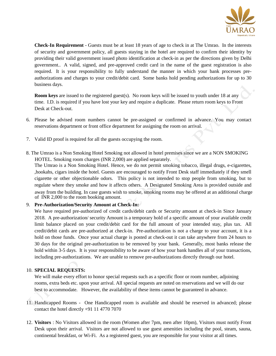

**Check-In Requirement** - Guests must be at least 18 years of age to check in at The Umrao. In the interests of security and government policy, all guests staying in the hotel are required to confirm their identity by providing their valid government issued photo identification at check-in as per the directions given by Delhi government.. A valid, signed, and pre-approved credit card in the name of the guest registration is also required. It is your responsibility to fully understand the manner in which your bank processes preauthorizations and charges to your credit/debit card. Some banks hold pending authorizations for up to 30 business days.

**Room keys** are issued to the registered guest(s). No room keys will be issued to youth under 18 at any time. I.D. is required if you have lost your key and require a duplicate. Please return room keys to Front Desk at Check-out.

- 6. Please be advised room numbers cannot be pre-assigned or confirmed in advance. You may contact reservations department or front office department for assigning the room on arrival.
- 7. Valid ID proof is required for all the guests occupying the room.
- 8. The Umrao is a Non Smoking Hotel Smoking not allowed in hotel premises since we are a NON SMOKING HOTEL. Smoking room charges (INR 2,000) are applied separately.

The Umrao is a Non Smoking Hotel. Hence, we do not permit smoking tobacco, illegal drugs, e-cigarettes, ,hookahs, cigars inside the hotel. Guests are encouraged to notify Front Desk staff immediately if they smell cigarette or other objectionable odors. This policy is not intended to stop people from smoking, but to regulate where they smoke and how it affects others. A Designated Smoking Area is provided outside and away from the building. In case guests wish to smoke, smoking rooms may be offered at an additional charge of INR 2,000 to the room booking amount.

#### 9. **Pre-Authorization/Security Amount at Check-In:**

We have required pre-authorized of credit cards/debit cards or Security amount at check-in Since January 2018. A pre-authorization/ security Amount is a temporary hold of a specific amount of your available credit limit balance placed on your credit/debit card for the full amount of your intended stay, plus tax. All credit/debit cards are pre-authorized at check-in. Pre-authorization is not a charge to your account, it is a hold on those funds. Once your actual charge is posted at check-out it can take anywhere from 24 hours to 30 days for the original pre-authorization to be removed by your bank. Generally, most banks release the hold within 3-5 days. It is your responsibility to be aware of how your bank handles all of your transactions, including pre-authorizations. We are unable to remove pre-authorizations directly through our hotel.

#### 10. **SPECIAL REQUESTS:**

We will make every effort to honor special requests such as a specific floor or room number, adjoining rooms, extra beds etc. upon your arrival. All special requests are noted on reservations and we will do our best to accommodate. However, the availability of these items cannot be guaranteed in advance.

- 11. Handicapped Rooms One Handicapped room is available and should be reserved in advanced; please contact the hotel directly +91 11 4770 7070
- 12. **Visitors** : No Visitors allowed in the room (Women after 7pm, men after 10pm), Visitors must notify Front Desk upon their arrival. Visitors are not allowed to use guest amenities including the pool, steam, sauna, continental breakfast, or Wi-Fi. As a registered guest, you are responsible for your visitor at all times.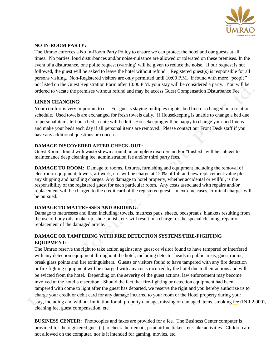

#### **NO IN-ROOM PARTY:**

The Umrao enforces a No In-Room Party Policy to ensure we can protect the hotel and our guests at all times. No parties, loud disturbances and/or noise-nuisance are allowed or tolerated on these premises. In the event of a disturbance, one polite request (warning) will be given to reduce the noise. If our request is not followed, the guest will be asked to leave the hotel without refund. Registered guest(s) is responsible for all persons visiting. Non-Registered visitors are only permitted until 10:00 P.M. If found with more "people" not listed on the Guest Registration Form after 10:00 P.M. your stay will be considered a party. You will be ordered to vacate the premises without refund and may be access Guest Compensation Disturbance Fee

#### **LINEN CHANGING**:

Your comfort is very important to us. For guests staying multiples nights, bed linen is changed on a rotation schedule. Used towels are exchanged for fresh towels daily. If Housekeeping is unable to change a bed due to personal items left on a bed, a note will be left. Housekeeping will be happy to change your bed linens and make your beds each day if all personal items are removed. Please contact our Front Desk staff if you have any additional questions or concerns.

### **DAMAGE DISCOVERED AFTER CHECK-OUT:**

Guest Rooms found with waste strewn around, in complete disorder, and/or "trashed" will be subject to maintenance deep cleaning fee, administration fee and/or third party fees.

**DAMAGE TO ROOM:** Damage to rooms, fixtures, furnishing and equipment including the removal of electronic equipment, towels, art work, etc. will be charge at 120% of full and new replacement value plus any shipping and handling charges. Any damage to hotel property, whether accidental or willful, is the responsibility of the registered guest for each particular room. Any costs associated with repairs and/or replacement will be charged to the credit card of the registered guest. In extreme cases, criminal charges will be pursued.

### **DAMAGE TO MATTRESSES AND BEDDING:**

Damage to mattresses and linen including; towels, mattress pads, sheets, bedspreads, blankets resulting from the use of body oils, make-up, shoe-polish, etc. will result in a charge for the special cleaning, repair or replacement of the damaged article.

## **DAMAGE OR TAMPERING WITH FIRE DETECTION SYSTEMS/FIRE-FIGHTING EQUIPMENT:**

The Umrao reserve the right to take action against any guest or visitor found to have tampered or interfered with any detection equipment throughout the hotel, including detector heads in public areas, guest rooms, break glass points and fire extinguishers. Guests or visitors found to have tampered with any fire detection or fire-fighting equipment will be charged with any costs incurred by the hotel due to their actions and will be evicted from the hotel. Depending on the severity of the guest actions, law enforcement may become involved at the hotel's discretion. Should the fact that fire-fighting or detection equipment had been tampered with come to light after the guest has departed, we reserve the right and you hereby authorize us to charge your credit or debit card for any damage incurred to your room or the Hotel property during your cleaning fee, guest compensation, etc. stay, including and without limitation for all property damage, missing or damaged items, smoking fee (INR 2,000),

**BUSINESS CENTER:** Photocopies and faxes are provided for a fee. The Business Center computer is provided for the registered guest(s) to check their email, print airline tickets, etc. like activities. Children are not allowed on the computer, nor is it intended for gaming, movies, etc.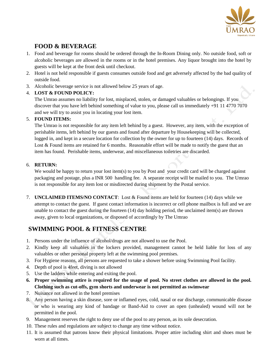

# **FOOD & BEVERAGE**

- 1. Food and beverage for rooms should be ordered through the In-Room Dining only. No outside food, soft or alcoholic beverages are allowed in the rooms or in the hotel premises. Any liquor brought into the hotel by guests will be kept at the front desk until checkout.
- 2. Hotel is not held responsible if guests consumes outside food and get adversely affected by the bad quality of outside food.
- 3. Alcoholic beverage service is not allowed below 25 years of age.

## 4. **LOST & FOUND POLICY:**

The Umrao assumes no liability for lost, misplaced, stolen, or damaged valuables or belongings. If you discover that you have left behind something of value to you, please call us immediately +91 11 4770 7070 and we will try to assist you in locating your lost item.

## 5. **FOUND ITEMS:**

The Umrao is not responsible for any item left behind by a guest. However, any item, with the exception of perishable items, left behind by our guests and found after departure by Housekeeping will be collected, logged in, and kept in a secure location for collection by the owner for up to fourteen (14) days. Records of Lost & Found items are retained for 6 months. Reasonable effort will be made to notify the guest that an item has found. Perishable items, underwear, and miscellaneous toiletries are discarded.

### 6. **RETURN:**

We would be happy to return your lost item(s) to you by Post and your credit card will be charged against packaging and postage, plus a INR 500 handling fee. A separate receipt will be mailed to you. The Umrao is not responsible for any item lost or misdirected during shipment by the Postal service.

7. **UNCLAIMED ITEMS/NO CONTACT**: Lost & Found items are held for fourteen (14) days while we attempt to contact the guest. If guest contact information is incorrect or cell phone mailbox is full and we are unable to contact the guest during the fourteen (14) day holding period, the unclaimed item(s) are thrown away, given to local organizations, or disposed of accordingly by The Umrao

# **SWIMMING POOL & FITNESS CENTRE**

- 1. Persons under the influence of alcohol/drugs are not allowed to use the Pool.
- 2. Kindly keep all valuables in the lockers provided, management cannot be held liable for loss of any valuables or other personal property left at the swimming pool premises.
- 3. For Hygiene reasons, all persons are requested to take a shower before using Swimming Pool facility.
- 4. Depth of pool is 4feet, diving is not allowed
- 5. Use the ladders while entering and exiting the pool.
- **6. Proper swimming attire is required for the usage of pool. No street clothes are allowed in the pool. Clothing such as cut-offs, gym shorts and underwear is not permitted as swimwear**
- 7. Nuisance not allowed in the hotel premises
- 8. Any person having a skin disease, sore or inflamed eyes, cold, nasal or ear discharge, communicable disease or who is wearing any kind of bandage or Band-Aid to cover an open (unhealed) wound will not be permitted in the pool.
- 9. Management reserves the right to deny use of the pool to any person, as its sole desecration.
- 10. These rules and regulations are subject to change any time without notice.
- 11. It is assumed that patrons know their physical limitations. Proper attire including shirt and shoes must be worn at all times.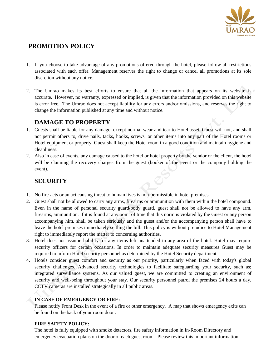

## **PROMOTION POLICY**

- 1. If you choose to take advantage of any promotions offered through the hotel, please follow all restrictions associated with each offer. Management reserves the right to change or cancel all promotions at its sole discretion without any notice.
- 2. The Umrao makes its best efforts to ensure that all the information that appears on its website is accurate. However, no warranty, expressed or implied, is given that the information provided on this website is error free. The Umrao does not accept liability for any errors and/or omissions, and reserves the right to change the information published at any time and without notice.

# **DAMAGE TO PROPERTY**

- 1. Guests shall be liable for any damage, except normal wear and tear to Hotel asset. Guest will not, and shall not permit others to, drive nails, tacks, hooks, screws, or other items into any part of the Hotel rooms or Hotel equipment or property. Guest shall keep the Hotel room in a good condition and maintain hygiene and cleanliness.
- 2. Also in case of events, any damage caused to the hotel or hotel property by the vendor or the client, the hotel will be claiming the recovery charges from the guest (booker of the event or the company holding the event).

# **SECURITY**

- 1. No fire-acts or an act causing threat to human lives is non-permissible in hotel premises.
- 2. Guest shall not be allowed to carry any arms, firearms or ammunition with them within the hotel compound. Even in the name of personal security guard/body guard, guest shall not be allowed to have any arm, firearms, ammunition. If it is found at any point of time that this norm is violated by the Guest or any person accompanying him, shall be taken seriously and the guest and/or the accompanying person shall have to leave the hotel premises immediately settling the bill. This policy is without prejudice to Hotel Management right to immediately report the matter to concerning authorities.
- 3. Hotel does not assume liability for any items left unattended in any area of the hotel. Hotel may require security officers for certain occasions. In order to maintain adequate security measures Guest may be required to inform Hotel security personnel as determined by the Hotel Security department.
- 4. Hotels consider guest comfort and security as our priority, particularly when faced with today's global security challenges. Advanced security technologies to facilitate safeguarding your security, such as; integrated surveillance systems. As our valued guest, we are committed to creating an environment of security and well-being throughout your stay. Our security personnel patrol the premises 24 hours a day. CCTV cameras are installed strategically in all public areas.

### **IN CASE OF EMERGENCY OR FIRE:**

Please notify Front Desk in the event of a fire or other emergency. A map that shows emergency exits can be found on the back of your room door .

### **FIRE SAFETY POLICY:**

The hotel is fully equipped with smoke detectors, fire safety information in In-Room Directory and emergency evacuation plans on the door of each guest room. Please review this important information.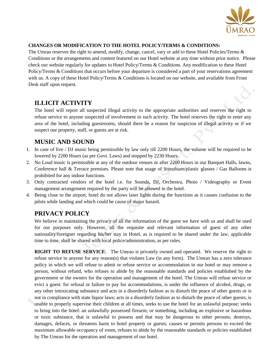

#### **CHANGES OR MODIFICATION TO THE HOTEL POLICY/TERMS & CONDITIONS:**

The Umrao reserves the right to amend, modify, change, cancel, vary or add to these Hotel Policies/Terms & Conditions or the arrangements and content featured on our Hotel website at any time without prior notice. Please check our website regularly for updates to Hotel Policy/Terms & Conditions. Any modification to these Hotel Policy/Terms & Conditions that occurs before your departure is considered a part of your reservations agreement with us. A copy of these Hotel Policy/Terms & Conditions is located on our website, and available from Front Desk staff upon request.

# **ILLICIT ACTIVITY**

The hotel will report all suspected illegal activity to the appropriate authorities and reserves the right to refuse service to anyone suspected of involvement in such activity. The hotel reserves the right to enter any area of the hotel, including guestrooms, should there be a reason for suspicion of illegal activity or if we suspect our property, staff, or guests are at risk.

# **MUSIC AND SOUND**

- 1. In case of live / DJ music being permissible by law only till 2200 Hours, the volume will be required to be lowered by 2200 Hours (as per Govt. Laws) and stopped by 2230 Hours.
- 2. No Loud music is permissible at any of the outdoor venues or after 2200 Hours in our Banquet Halls, lawns, Conference hall & Terrace premises. Please note that usage of Styrofoam/plastic glasses / Gas Balloons is prohibited for any indoor functions.
- 3. Only contracted vendors of the hotel i.e. for Sounds, DJ, Orchestra, Photo / Videography or Event management arrangement required by the party will be allowed in the hotel.
- 4. Being close to the airport, hotel do not allows laser lights during the functions as it causes confusion to the pilots while landing and which could be cause of major hazard.

# **PRIVACY POLICY**

We believe in maintaining the privacy of all the information of the guest we have with us and shall be used for our purposes only. However, all the requisite and relevant information of guest of any other nationality/foreigner regarding his/her stay in Hotel, as is required to be shared under the law, applicable time to time, shall be shared with local police/administration, as per rules.

**RIGHT TO REFUSE SERVICE**: The Umrao is privately owned and operated. We reserve the right to refuse service to anyone for any reason(s) that violates Law (in any form). The Umrao has a zero tolerance policy in which we will refuse to admit or refuse service or accommodation in our hotel or may remove a person, without refund, who refuses to abide by the reasonable standards and policies established by the government or the owners for the operation and management of the hotel. The Umrao will refuse service or evict a guest: for refusal or failure to pay for accommodations, is under the influence of alcohol, drugs, or any other intoxicating substance and acts in a disorderly fashion as to disturb the peace of other guests or is not in compliance with state liquor laws; acts in a disorderly fashion as to disturb the peace of other guests; is unable to properly supervise their children at all times, seeks to use the hotel for an unlawful purpose; seeks to bring into the hotel: an unlawfully possessed firearm; or something, including an explosive or hazardous or toxic substance, that is unlawful to possess and that may be dangerous to other persons; destroys, damages, defaces, or threatens harm to hotel property or guests; causes or permits persons to exceed the maximum allowable occupancy of room, refuses to abide by the reasonable standards or policies established by The Umrao for the operation and management of our hotel.